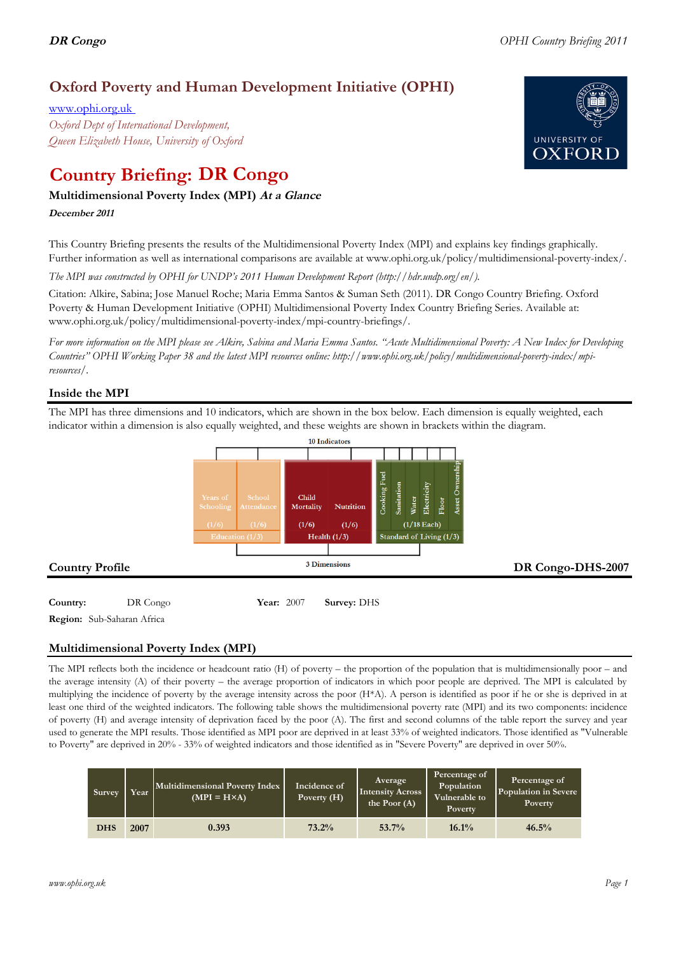# **Oxford Poverty and Human Development Initiative (OPHI)**

www.ophi.org.uk *Oxford Dept of International Development, Queen Elizabeth House, University of Oxford*

# **Country Briefing: DR Congo**

# **Multidimensional Poverty Index (MPI) At <sup>a</sup> Glance**

**December <sup>2011</sup>**

This Country Briefing presents the results of the Multidimensional Poverty Index (MPI) and explains key findings graphically. Further information as well as international comparisons are available at www.ophi.org.uk/policy/multidimensional-poverty-index/.

*The MPI was constructed by OPHI for UNDP's 2011 Human Development Report (http://hdr.undp.org/en/).*

Citation: Alkire, Sabina; Jose Manuel Roche; Maria Emma Santos & Suman Seth (2011). DR Congo Country Briefing. Oxford Poverty & Human Development Initiative (OPHI) Multidimensional Poverty Index Country Briefing Series. Available at: www.ophi.org.uk/policy/multidimensional-poverty-index/mpi-country-briefings/.

*For more information on the MPI please see Alkire, Sabina and Maria Emma Santos. "Acute Multidimensional Poverty: A New Index for Developing Countries" OPHI Working Paper 38 and the latest MPI resources online: http://www.ophi.org.uk/policy/multidimensional-poverty-index/mpiresources/.*

# **Inside the MPI**

The MPI has three dimensions and 10 indicators, which are shown in the box below. Each dimension is equally weighted, each indicator within a dimension is also equally weighted, and these weights are shown in brackets within the diagram.



**Country:**  $DR\text{ Congo}$  Year: 2007 Survey: DHS

**Region:** Sub-Saharan Africa

# **Multidimensional Poverty Index (MPI)**

The MPI reflects both the incidence or headcount ratio (H) of poverty – the proportion of the population that is multidimensionally poor – and the average intensity (A) of their poverty – the average proportion of indicators in which poor people are deprived. The MPI is calculated by multiplying the incidence of poverty by the average intensity across the poor (H\*A). A person is identified as poor if he or she is deprived in at least one third of the weighted indicators. The following table shows the multidimensional poverty rate (MPI) and its two components: incidence of poverty (H) and average intensity of deprivation faced by the poor (A). The first and second columns of the table report the survey and year used to generate the MPI results. Those identified as MPI poor are deprived in at least 33% of weighted indicators. Those identified as "Vulnerable to Poverty" are deprived in 20% - 33% of weighted indicators and those identified as in "Severe Poverty" are deprived in over 50%.

| <b>Survey</b> | Year | Multidimensional Poverty Index<br>$(MPI = H \times A)$ | Incidence of<br>Poverty (H) | Average<br><b>Intensity Across</b><br>the Poor $(A)$ | Percentage of<br>Population<br>Vulnerable to<br><b>Poverty</b> | Percentage of<br>Population in Severe<br>Poverty |
|---------------|------|--------------------------------------------------------|-----------------------------|------------------------------------------------------|----------------------------------------------------------------|--------------------------------------------------|
| <b>DHS</b>    | 2007 | 0.393                                                  | 73.2%                       | 53.7%                                                | 16.1%                                                          | 46.5%                                            |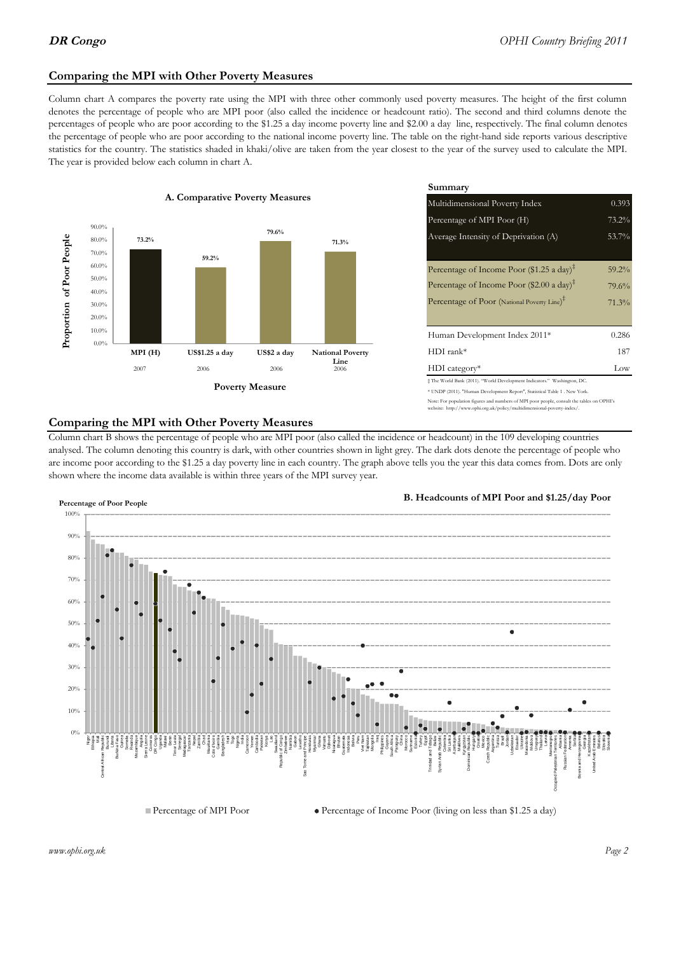### **Comparing the MPI with Other Poverty Measures**

Column chart A compares the poverty rate using the MPI with three other commonly used poverty measures. The height of the first column denotes the percentage of people who are MPI poor (also called the incidence or headcount ratio). The second and third columns denote the percentages of people who are poor according to the \$1.25 a day income poverty line and \$2.00 a day line, respectively. The final column denotes the percentage of people who are poor according to the national income poverty line. The table on the right-hand side reports various descriptive statistics for the country. The statistics shaded in khaki/olive are taken from the year closest to the year of the survey used to calculate the MPI. The year is provided below each column in chart A.



|                 |                         | Summary                                                                                                                                                |          |  |  |
|-----------------|-------------------------|--------------------------------------------------------------------------------------------------------------------------------------------------------|----------|--|--|
| erty Measures   |                         | 0.393<br>Multidimensional Poverty Index                                                                                                                |          |  |  |
|                 |                         | Percentage of MPI Poor (H)                                                                                                                             | 73.2%    |  |  |
| 79.6%           | 71.3%                   | Average Intensity of Deprivation (A)                                                                                                                   | 53.7%    |  |  |
|                 |                         | Percentage of Income Poor (\$1.25 a day) <sup><math>\ddagger</math></sup>                                                                              | $59.2\%$ |  |  |
|                 |                         | Percentage of Income Poor $(\$2.00 \text{ a day})^{\ddagger}$                                                                                          | 79.6%    |  |  |
|                 |                         | Percentage of Poor (National Poverty Line) <sup>#</sup>                                                                                                | 71.3%    |  |  |
|                 |                         | Human Development Index 2011*                                                                                                                          | 0.286    |  |  |
| US\$2 a day     | <b>National Poverty</b> | $HDI$ rank*                                                                                                                                            | 187      |  |  |
| 2006            | Line<br>2006            | $HDI category*$                                                                                                                                        | Low      |  |  |
| <b>⁄Ieasure</b> |                         | # The World Bank (2011). "World Development Indicators." Washington, DC.<br>* UNDP (2011). "Human Development Report", Statistical Table 1 . New York. |          |  |  |

te: For population figures and numbers of MPI poor people, consult the tables on OPHI's te: http://www.ophi.org.uk/policy/multidimensional-poverty-index/

#### **Comparing the MPI with Other Poverty Measures**

Column chart B shows the percentage of people who are MPI poor (also called the incidence or headcount) in the 109 developing countries analysed. The column denoting this country is dark, with other countries shown in light grey. The dark dots denote the percentage of people who are income poor according to the \$1.25 a day poverty line in each country. The graph above tells you the year this data comes from. Dots are only shown where the income data available is within three years of the MPI survey year.



**B. Headcounts of MPI Poor and \$1.25/day Poor**



*www.ophi.org.uk Page 2*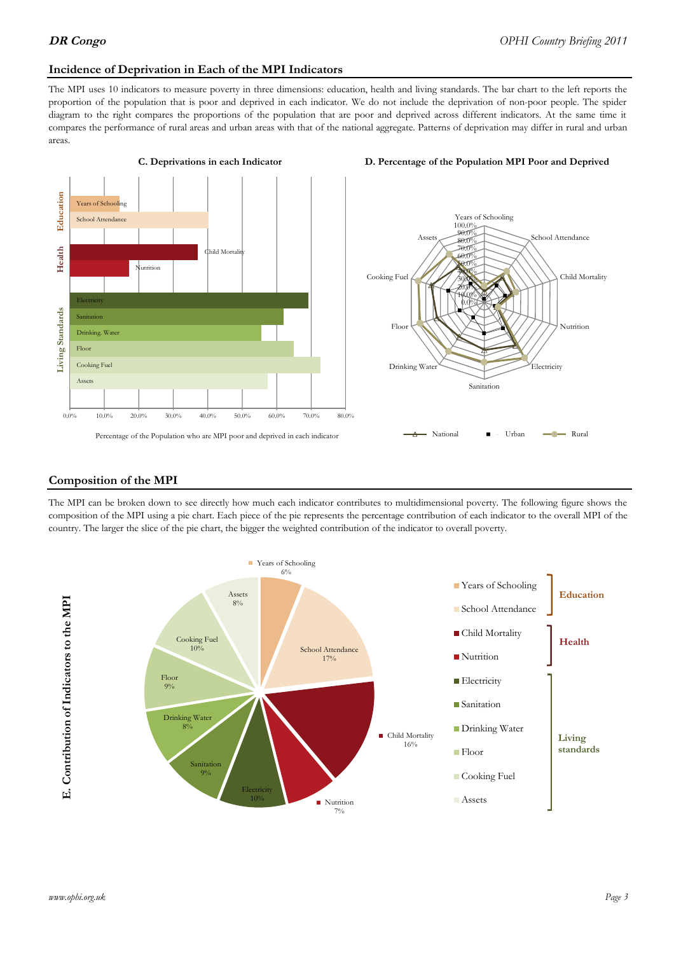#### **Incidence of Deprivation in Each of the MPI Indicators**

The MPI uses 10 indicators to measure poverty in three dimensions: education, health and living standards. The bar chart to the left reports the proportion of the population that is poor and deprived in each indicator. We do not include the deprivation of non-poor people. The spider diagram to the right compares the proportions of the population that are poor and deprived across different indicators. At the same time it compares the performance of rural areas and urban areas with that of the national aggregate. Patterns of deprivation may differ in rural and urban areas.







#### **Composition of the MPI**

The MPI can be broken down to see directly how much each indicator contributes to multidimensional poverty. The following figure shows the composition of the MPI using a pie chart. Each piece of the pie represents the percentage contribution of each indicator to the overall MPI of the country. The larger the slice of the pie chart, the bigger the weighted contribution of the indicator to overall poverty.

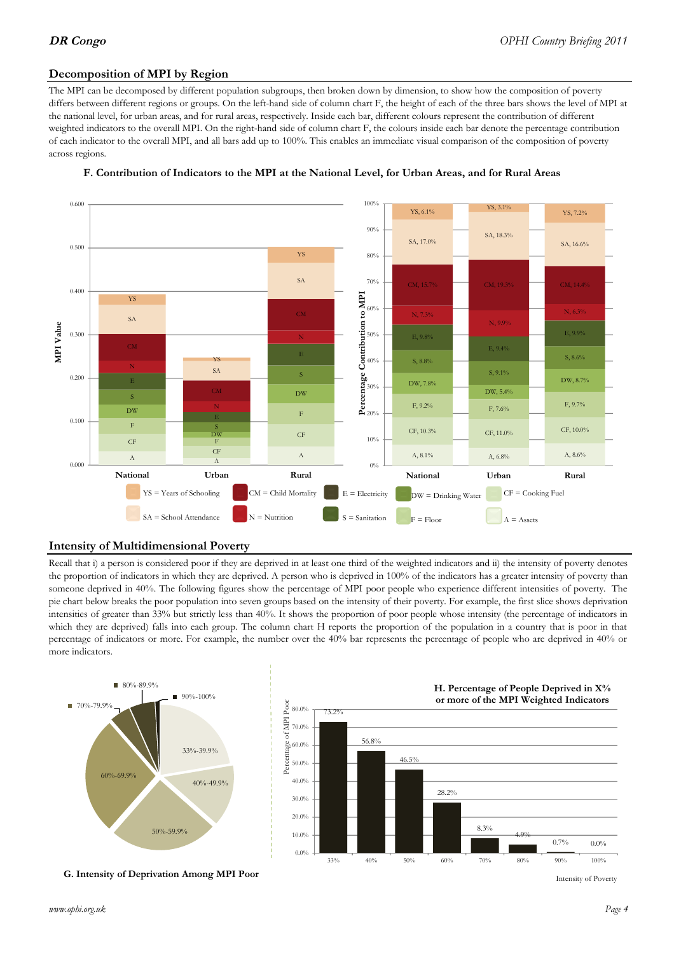### **Decomposition of MPI by Region**

The MPI can be decomposed by different population subgroups, then broken down by dimension, to show how the composition of poverty differs between different regions or groups. On the left-hand side of column chart F, the height of each of the three bars shows the level of MPI at the national level, for urban areas, and for rural areas, respectively. Inside each bar, different colours represent the contribution of different weighted indicators to the overall MPI. On the right-hand side of column chart F, the colours inside each bar denote the percentage contribution of each indicator to the overall MPI, and all bars add up to 100%. This enables an immediate visual comparison of the composition of poverty across regions.



#### **F. Contribution of Indicators to the MPI at the National Level, for Urban Areas, and for Rural Areas**

#### **Intensity of Multidimensional Poverty**

Recall that i) a person is considered poor if they are deprived in at least one third of the weighted indicators and ii) the intensity of poverty denotes the proportion of indicators in which they are deprived. A person who is deprived in 100% of the indicators has a greater intensity of poverty than someone deprived in 40%. The following figures show the percentage of MPI poor people who experience different intensities of poverty. The pie chart below breaks the poor population into seven groups based on the intensity of their poverty. For example, the first slice shows deprivation intensities of greater than 33% but strictly less than 40%. It shows the proportion of poor people whose intensity (the percentage of indicators in which they are deprived) falls into each group. The column chart H reports the proportion of the population in a country that is poor in that percentage of indicators or more. For example, the number over the 40% bar represents the percentage of people who are deprived in 40% or more indicators.



**G. Intensity of Deprivation Among MPI Poor**



Intensity of Poverty